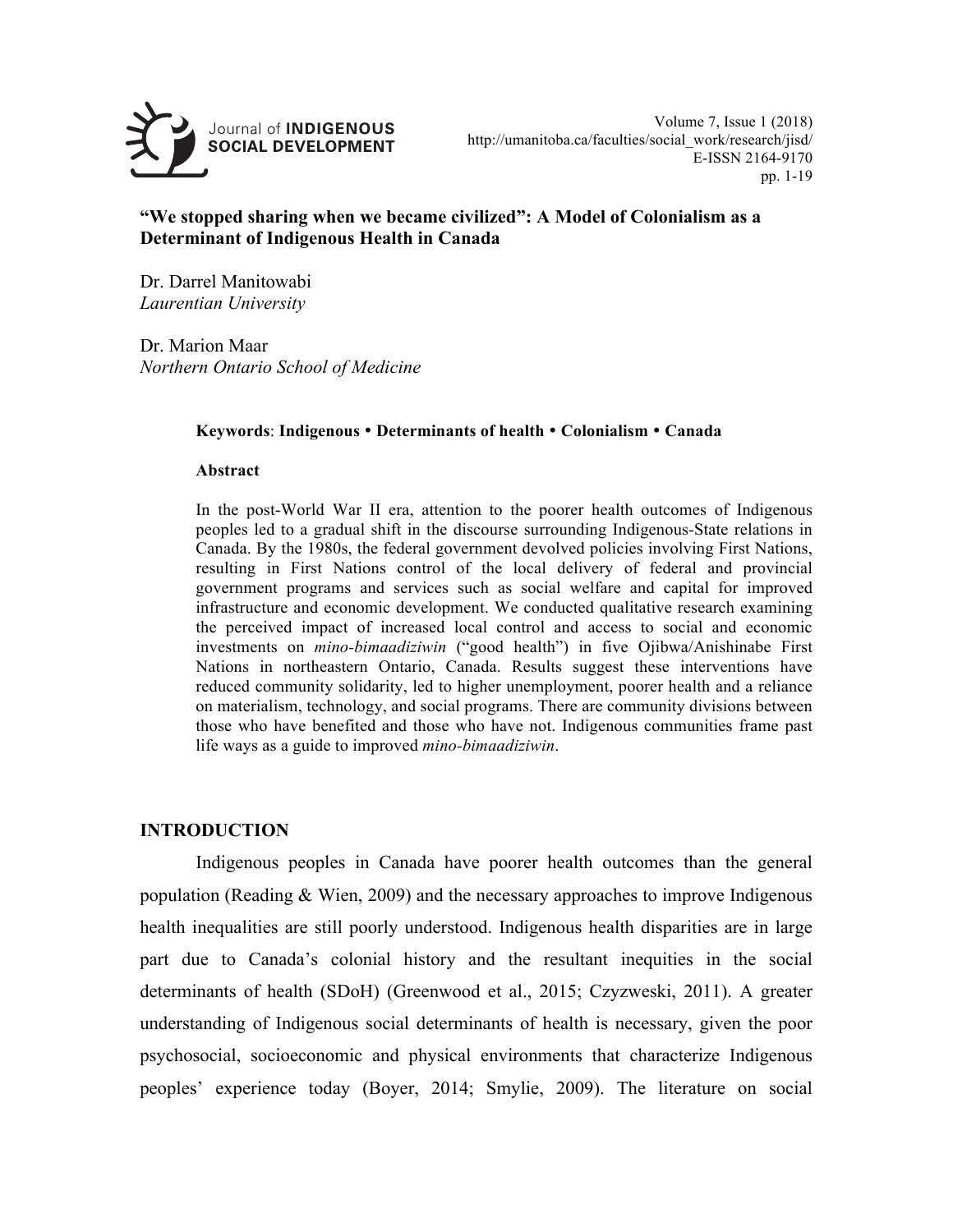

# **"We stopped sharing when we became civilized": A Model of Colonialism as a Determinant of Indigenous Health in Canada**

Dr. Darrel Manitowabi *Laurentian University*

Dr. Marion Maar *Northern Ontario School of Medicine*

### **Keywords**: **Indigenous Determinants of health Colonialism Canada**

### **Abstract**

In the post-World War II era, attention to the poorer health outcomes of Indigenous peoples led to a gradual shift in the discourse surrounding Indigenous-State relations in Canada. By the 1980s, the federal government devolved policies involving First Nations, resulting in First Nations control of the local delivery of federal and provincial government programs and services such as social welfare and capital for improved infrastructure and economic development. We conducted qualitative research examining the perceived impact of increased local control and access to social and economic investments on *mino-bimaadiziwin* ("good health") in five Ojibwa/Anishinabe First Nations in northeastern Ontario, Canada. Results suggest these interventions have reduced community solidarity, led to higher unemployment, poorer health and a reliance on materialism, technology, and social programs. There are community divisions between those who have benefited and those who have not. Indigenous communities frame past life ways as a guide to improved *mino-bimaadiziwin*.

## **INTRODUCTION**

Indigenous peoples in Canada have poorer health outcomes than the general population (Reading  $&$  Wien, 2009) and the necessary approaches to improve Indigenous health inequalities are still poorly understood. Indigenous health disparities are in large part due to Canada's colonial history and the resultant inequities in the social determinants of health (SDoH) (Greenwood et al., 2015; Czyzweski, 2011). A greater understanding of Indigenous social determinants of health is necessary, given the poor psychosocial, socioeconomic and physical environments that characterize Indigenous peoples' experience today (Boyer, 2014; Smylie, 2009). The literature on social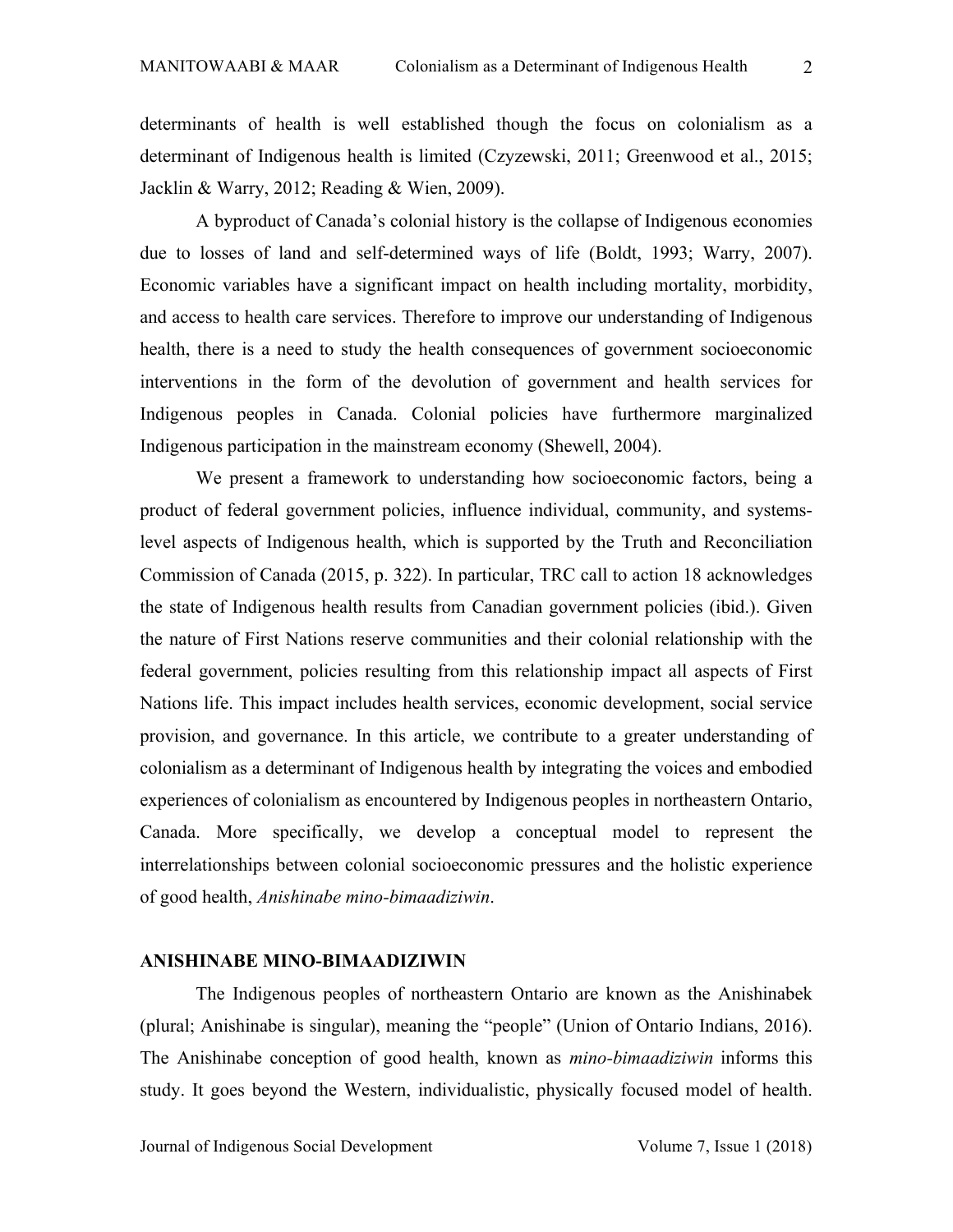determinants of health is well established though the focus on colonialism as a determinant of Indigenous health is limited (Czyzewski, 2011; Greenwood et al., 2015; Jacklin & Warry, 2012; Reading & Wien, 2009).

A byproduct of Canada's colonial history is the collapse of Indigenous economies due to losses of land and self-determined ways of life (Boldt, 1993; Warry, 2007). Economic variables have a significant impact on health including mortality, morbidity, and access to health care services. Therefore to improve our understanding of Indigenous health, there is a need to study the health consequences of government socioeconomic interventions in the form of the devolution of government and health services for Indigenous peoples in Canada. Colonial policies have furthermore marginalized Indigenous participation in the mainstream economy (Shewell, 2004).

We present a framework to understanding how socioeconomic factors, being a product of federal government policies, influence individual, community, and systemslevel aspects of Indigenous health, which is supported by the Truth and Reconciliation Commission of Canada (2015, p. 322). In particular, TRC call to action 18 acknowledges the state of Indigenous health results from Canadian government policies (ibid.). Given the nature of First Nations reserve communities and their colonial relationship with the federal government, policies resulting from this relationship impact all aspects of First Nations life. This impact includes health services, economic development, social service provision, and governance. In this article, we contribute to a greater understanding of colonialism as a determinant of Indigenous health by integrating the voices and embodied experiences of colonialism as encountered by Indigenous peoples in northeastern Ontario, Canada. More specifically, we develop a conceptual model to represent the interrelationships between colonial socioeconomic pressures and the holistic experience of good health, *Anishinabe mino-bimaadiziwin*.

#### **ANISHINABE MINO-BIMAADIZIWIN**

The Indigenous peoples of northeastern Ontario are known as the Anishinabek (plural; Anishinabe is singular), meaning the "people" (Union of Ontario Indians, 2016). The Anishinabe conception of good health, known as *mino-bimaadiziwin* informs this study. It goes beyond the Western, individualistic, physically focused model of health.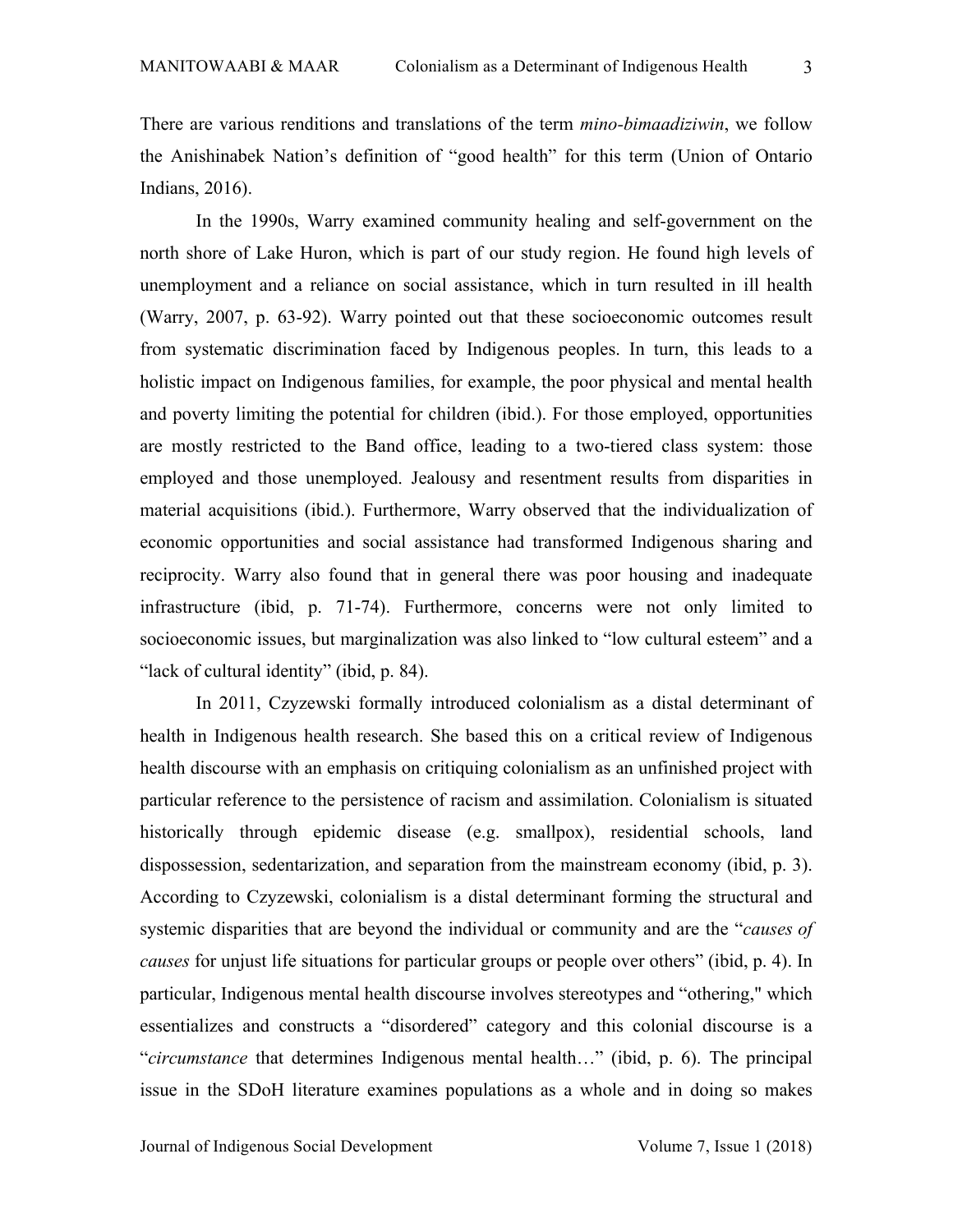There are various renditions and translations of the term *mino-bimaadiziwin*, we follow the Anishinabek Nation's definition of "good health" for this term (Union of Ontario Indians, 2016).

In the 1990s, Warry examined community healing and self-government on the north shore of Lake Huron, which is part of our study region. He found high levels of unemployment and a reliance on social assistance, which in turn resulted in ill health (Warry, 2007, p. 63-92). Warry pointed out that these socioeconomic outcomes result from systematic discrimination faced by Indigenous peoples. In turn, this leads to a holistic impact on Indigenous families, for example, the poor physical and mental health and poverty limiting the potential for children (ibid.). For those employed, opportunities are mostly restricted to the Band office, leading to a two-tiered class system: those employed and those unemployed. Jealousy and resentment results from disparities in material acquisitions (ibid.). Furthermore, Warry observed that the individualization of economic opportunities and social assistance had transformed Indigenous sharing and reciprocity. Warry also found that in general there was poor housing and inadequate infrastructure (ibid, p. 71-74). Furthermore, concerns were not only limited to socioeconomic issues, but marginalization was also linked to "low cultural esteem" and a "lack of cultural identity" (ibid, p. 84).

In 2011, Czyzewski formally introduced colonialism as a distal determinant of health in Indigenous health research. She based this on a critical review of Indigenous health discourse with an emphasis on critiquing colonialism as an unfinished project with particular reference to the persistence of racism and assimilation. Colonialism is situated historically through epidemic disease (e.g. smallpox), residential schools, land dispossession, sedentarization, and separation from the mainstream economy (ibid, p. 3). According to Czyzewski, colonialism is a distal determinant forming the structural and systemic disparities that are beyond the individual or community and are the "*causes of causes* for unjust life situations for particular groups or people over others" (ibid, p. 4). In particular, Indigenous mental health discourse involves stereotypes and "othering," which essentializes and constructs a "disordered" category and this colonial discourse is a "*circumstance* that determines Indigenous mental health…" (ibid, p. 6). The principal issue in the SDoH literature examines populations as a whole and in doing so makes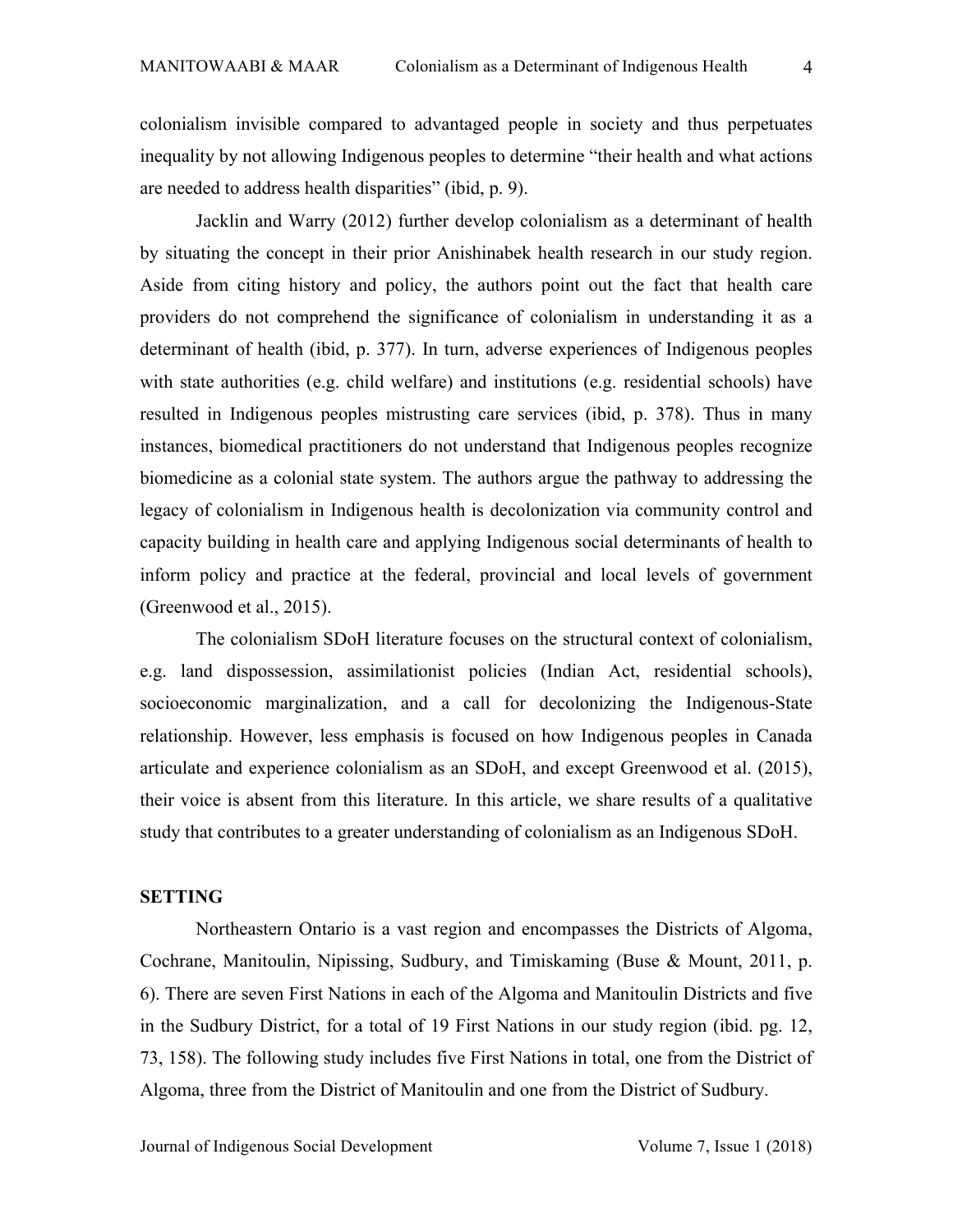colonialism invisible compared to advantaged people in society and thus perpetuates inequality by not allowing Indigenous peoples to determine "their health and what actions are needed to address health disparities" (ibid, p. 9).

Jacklin and Warry (2012) further develop colonialism as a determinant of health by situating the concept in their prior Anishinabek health research in our study region. Aside from citing history and policy, the authors point out the fact that health care providers do not comprehend the significance of colonialism in understanding it as a determinant of health (ibid, p. 377). In turn, adverse experiences of Indigenous peoples with state authorities (e.g. child welfare) and institutions (e.g. residential schools) have resulted in Indigenous peoples mistrusting care services (ibid, p. 378). Thus in many instances, biomedical practitioners do not understand that Indigenous peoples recognize biomedicine as a colonial state system. The authors argue the pathway to addressing the legacy of colonialism in Indigenous health is decolonization via community control and capacity building in health care and applying Indigenous social determinants of health to inform policy and practice at the federal, provincial and local levels of government (Greenwood et al., 2015).

The colonialism SDoH literature focuses on the structural context of colonialism, e.g. land dispossession, assimilationist policies (Indian Act, residential schools), socioeconomic marginalization, and a call for decolonizing the Indigenous-State relationship. However, less emphasis is focused on how Indigenous peoples in Canada articulate and experience colonialism as an SDoH, and except Greenwood et al. (2015), their voice is absent from this literature. In this article, we share results of a qualitative study that contributes to a greater understanding of colonialism as an Indigenous SDoH.

### **SETTING**

Northeastern Ontario is a vast region and encompasses the Districts of Algoma, Cochrane, Manitoulin, Nipissing, Sudbury, and Timiskaming (Buse & Mount, 2011, p. 6). There are seven First Nations in each of the Algoma and Manitoulin Districts and five in the Sudbury District, for a total of 19 First Nations in our study region (ibid. pg. 12, 73, 158). The following study includes five First Nations in total, one from the District of Algoma, three from the District of Manitoulin and one from the District of Sudbury.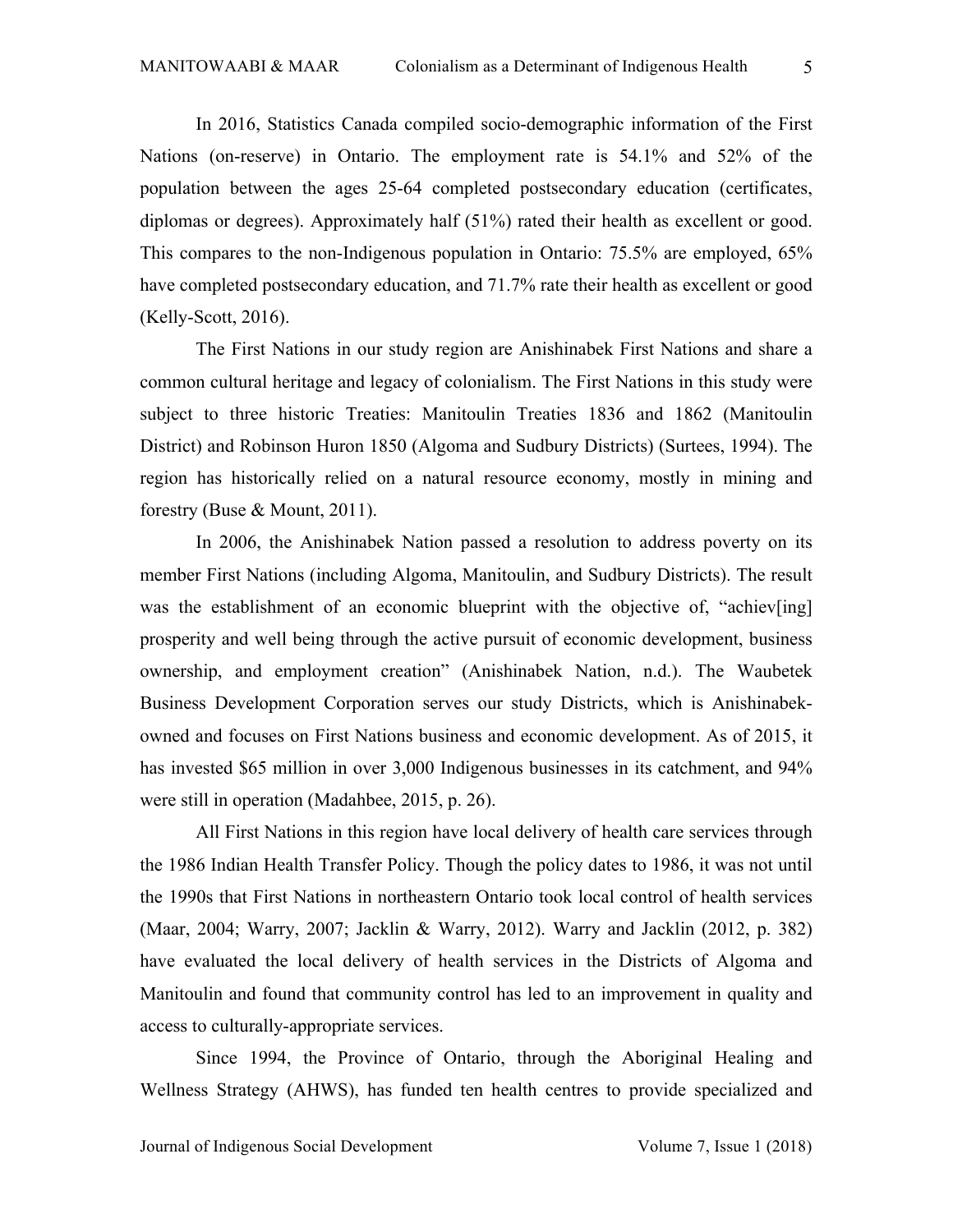In 2016, Statistics Canada compiled socio-demographic information of the First Nations (on-reserve) in Ontario. The employment rate is 54.1% and 52% of the population between the ages 25-64 completed postsecondary education (certificates, diplomas or degrees). Approximately half (51%) rated their health as excellent or good. This compares to the non-Indigenous population in Ontario: 75.5% are employed, 65% have completed postsecondary education, and 71.7% rate their health as excellent or good (Kelly-Scott, 2016).

The First Nations in our study region are Anishinabek First Nations and share a common cultural heritage and legacy of colonialism. The First Nations in this study were subject to three historic Treaties: Manitoulin Treaties 1836 and 1862 (Manitoulin District) and Robinson Huron 1850 (Algoma and Sudbury Districts) (Surtees, 1994). The region has historically relied on a natural resource economy, mostly in mining and forestry (Buse & Mount, 2011).

In 2006, the Anishinabek Nation passed a resolution to address poverty on its member First Nations (including Algoma, Manitoulin, and Sudbury Districts). The result was the establishment of an economic blueprint with the objective of, "achiev[ing] prosperity and well being through the active pursuit of economic development, business ownership, and employment creation" (Anishinabek Nation, n.d.). The Waubetek Business Development Corporation serves our study Districts, which is Anishinabekowned and focuses on First Nations business and economic development. As of 2015, it has invested \$65 million in over 3,000 Indigenous businesses in its catchment, and 94% were still in operation (Madahbee, 2015, p. 26).

All First Nations in this region have local delivery of health care services through the 1986 Indian Health Transfer Policy. Though the policy dates to 1986, it was not until the 1990s that First Nations in northeastern Ontario took local control of health services (Maar, 2004; Warry, 2007; Jacklin & Warry, 2012). Warry and Jacklin (2012, p. 382) have evaluated the local delivery of health services in the Districts of Algoma and Manitoulin and found that community control has led to an improvement in quality and access to culturally-appropriate services.

Since 1994, the Province of Ontario, through the Aboriginal Healing and Wellness Strategy (AHWS), has funded ten health centres to provide specialized and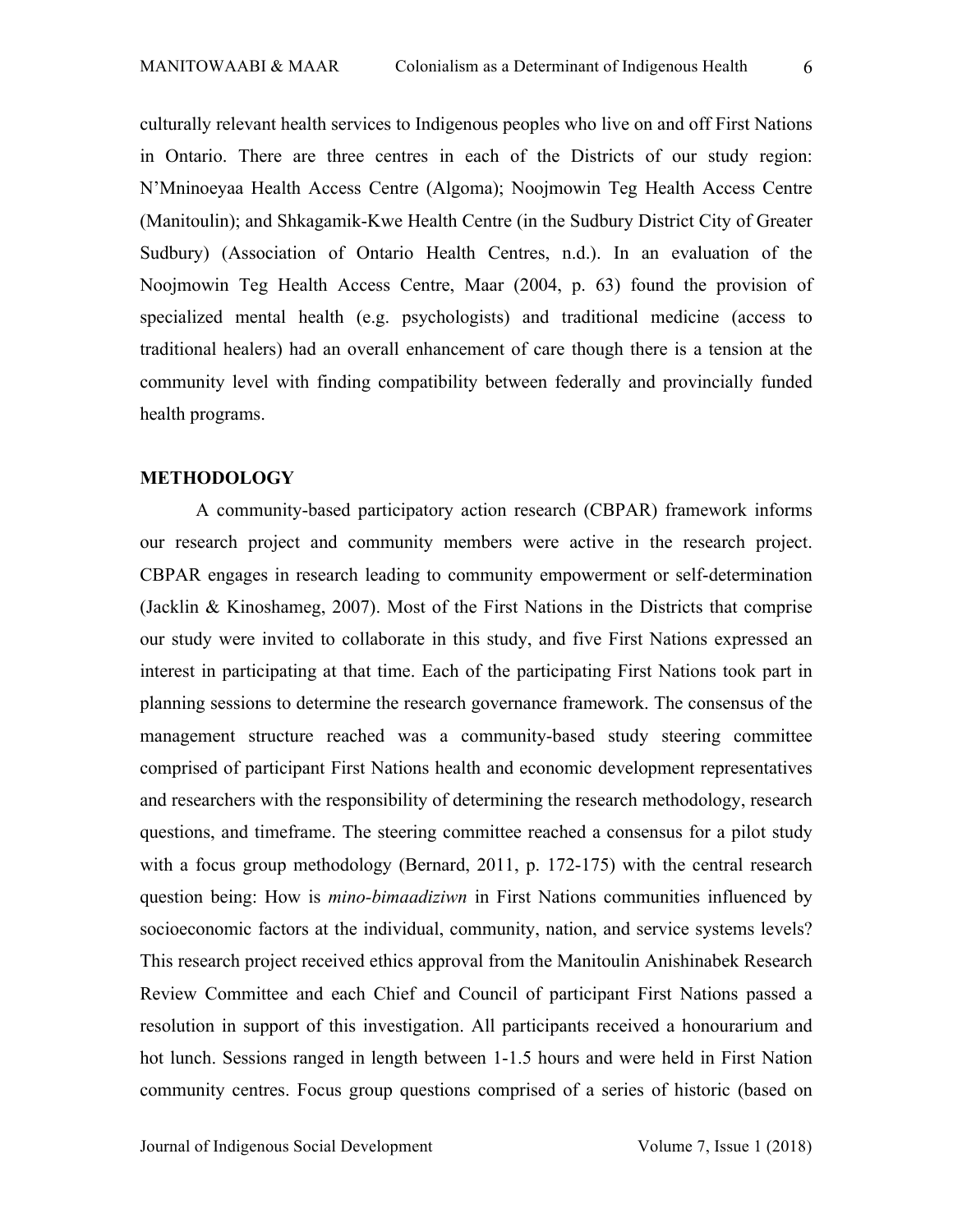culturally relevant health services to Indigenous peoples who live on and off First Nations in Ontario. There are three centres in each of the Districts of our study region: N'Mninoeyaa Health Access Centre (Algoma); Noojmowin Teg Health Access Centre (Manitoulin); and Shkagamik-Kwe Health Centre (in the Sudbury District City of Greater Sudbury) (Association of Ontario Health Centres, n.d.). In an evaluation of the Noojmowin Teg Health Access Centre, Maar (2004, p. 63) found the provision of specialized mental health (e.g. psychologists) and traditional medicine (access to traditional healers) had an overall enhancement of care though there is a tension at the community level with finding compatibility between federally and provincially funded health programs.

#### **METHODOLOGY**

A community-based participatory action research (CBPAR) framework informs our research project and community members were active in the research project. CBPAR engages in research leading to community empowerment or self-determination (Jacklin & Kinoshameg, 2007). Most of the First Nations in the Districts that comprise our study were invited to collaborate in this study, and five First Nations expressed an interest in participating at that time. Each of the participating First Nations took part in planning sessions to determine the research governance framework. The consensus of the management structure reached was a community-based study steering committee comprised of participant First Nations health and economic development representatives and researchers with the responsibility of determining the research methodology, research questions, and timeframe. The steering committee reached a consensus for a pilot study with a focus group methodology (Bernard, 2011, p. 172-175) with the central research question being: How is *mino-bimaadiziwn* in First Nations communities influenced by socioeconomic factors at the individual, community, nation, and service systems levels? This research project received ethics approval from the Manitoulin Anishinabek Research Review Committee and each Chief and Council of participant First Nations passed a resolution in support of this investigation. All participants received a honourarium and hot lunch. Sessions ranged in length between 1-1.5 hours and were held in First Nation community centres. Focus group questions comprised of a series of historic (based on

Journal of Indigenous Social Development Volume 7, Issue 1 (2018)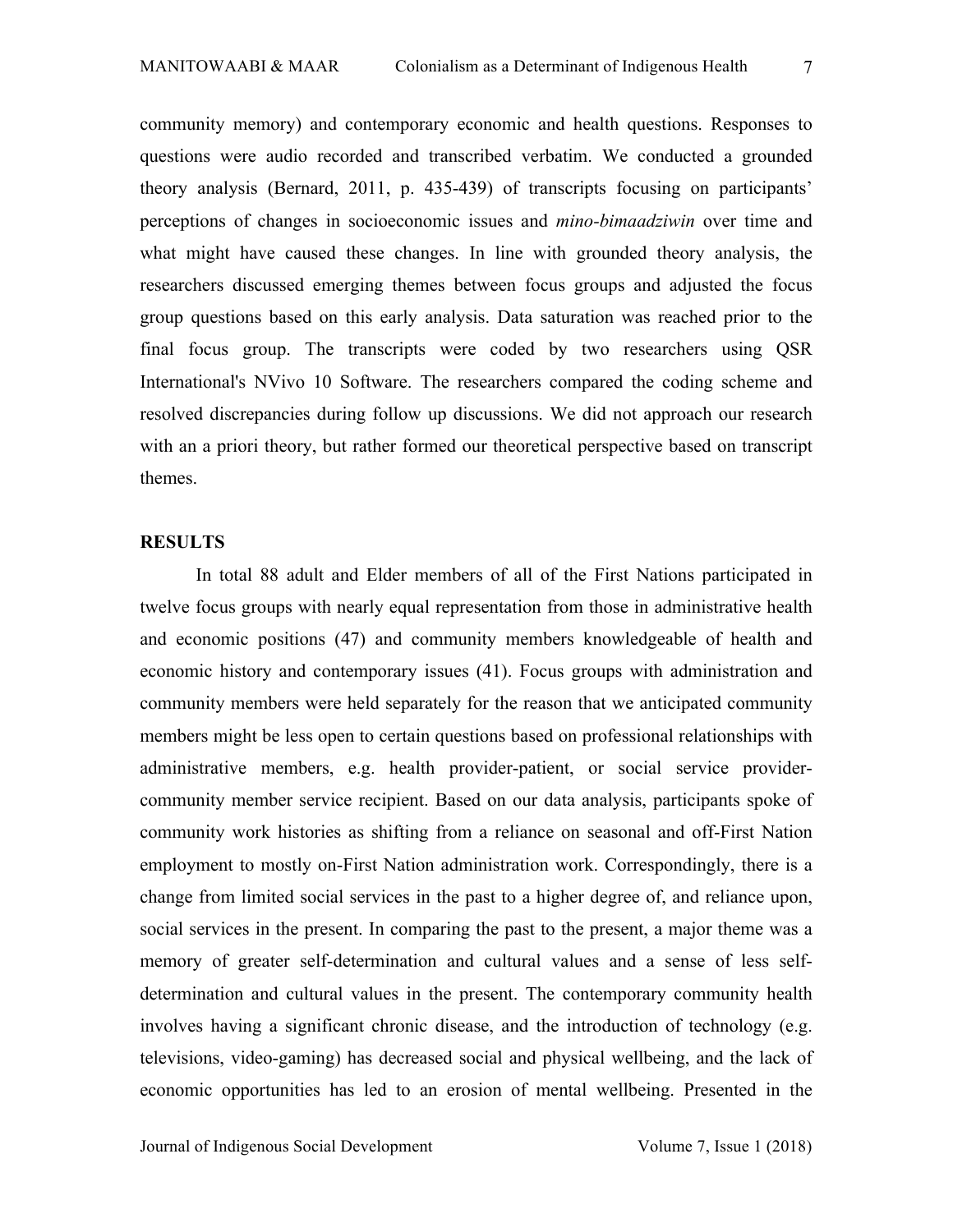community memory) and contemporary economic and health questions. Responses to questions were audio recorded and transcribed verbatim. We conducted a grounded theory analysis (Bernard, 2011, p. 435-439) of transcripts focusing on participants' perceptions of changes in socioeconomic issues and *mino-bimaadziwin* over time and what might have caused these changes. In line with grounded theory analysis, the researchers discussed emerging themes between focus groups and adjusted the focus group questions based on this early analysis. Data saturation was reached prior to the final focus group. The transcripts were coded by two researchers using QSR International's NVivo 10 Software. The researchers compared the coding scheme and resolved discrepancies during follow up discussions. We did not approach our research with an a priori theory, but rather formed our theoretical perspective based on transcript themes.

### **RESULTS**

In total 88 adult and Elder members of all of the First Nations participated in twelve focus groups with nearly equal representation from those in administrative health and economic positions (47) and community members knowledgeable of health and economic history and contemporary issues (41). Focus groups with administration and community members were held separately for the reason that we anticipated community members might be less open to certain questions based on professional relationships with administrative members, e.g. health provider-patient, or social service providercommunity member service recipient. Based on our data analysis, participants spoke of community work histories as shifting from a reliance on seasonal and off-First Nation employment to mostly on-First Nation administration work. Correspondingly, there is a change from limited social services in the past to a higher degree of, and reliance upon, social services in the present. In comparing the past to the present, a major theme was a memory of greater self-determination and cultural values and a sense of less selfdetermination and cultural values in the present. The contemporary community health involves having a significant chronic disease, and the introduction of technology (e.g. televisions, video-gaming) has decreased social and physical wellbeing, and the lack of economic opportunities has led to an erosion of mental wellbeing. Presented in the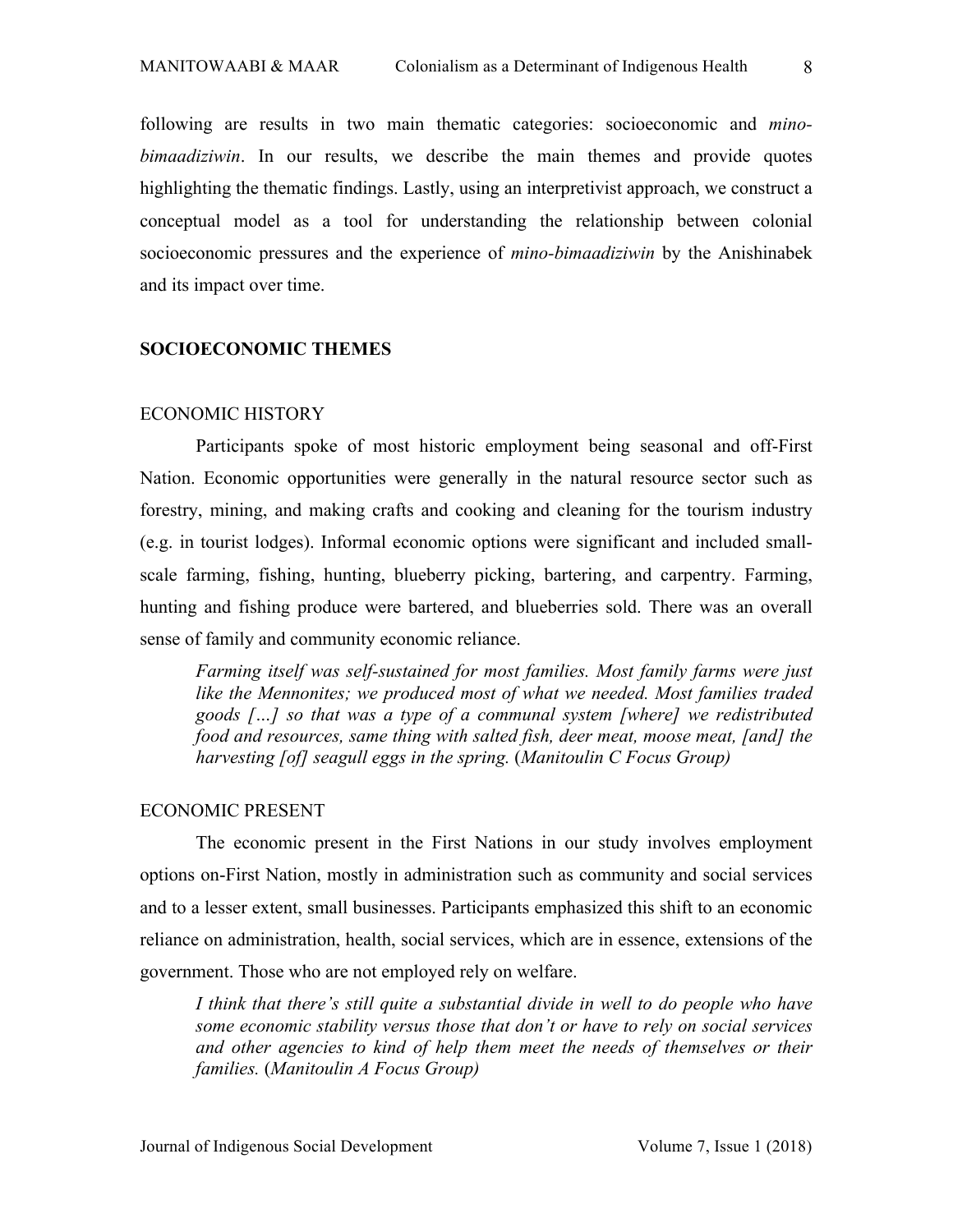following are results in two main thematic categories: socioeconomic and *minobimaadiziwin*. In our results, we describe the main themes and provide quotes highlighting the thematic findings. Lastly, using an interpretivist approach, we construct a conceptual model as a tool for understanding the relationship between colonial socioeconomic pressures and the experience of *mino-bimaadiziwin* by the Anishinabek and its impact over time.

#### **SOCIOECONOMIC THEMES**

### ECONOMIC HISTORY

Participants spoke of most historic employment being seasonal and off-First Nation. Economic opportunities were generally in the natural resource sector such as forestry, mining, and making crafts and cooking and cleaning for the tourism industry (e.g. in tourist lodges). Informal economic options were significant and included smallscale farming, fishing, hunting, blueberry picking, bartering, and carpentry. Farming, hunting and fishing produce were bartered, and blueberries sold. There was an overall sense of family and community economic reliance.

*Farming itself was self-sustained for most families. Most family farms were just like the Mennonites; we produced most of what we needed. Most families traded goods […] so that was a type of a communal system [where] we redistributed food and resources, same thing with salted fish, deer meat, moose meat, [and] the harvesting [of] seagull eggs in the spring.* (*Manitoulin C Focus Group)*

#### ECONOMIC PRESENT

The economic present in the First Nations in our study involves employment options on-First Nation, mostly in administration such as community and social services and to a lesser extent, small businesses. Participants emphasized this shift to an economic reliance on administration, health, social services, which are in essence, extensions of the government. Those who are not employed rely on welfare.

*I think that there's still quite a substantial divide in well to do people who have some economic stability versus those that don't or have to rely on social services and other agencies to kind of help them meet the needs of themselves or their families.* (*Manitoulin A Focus Group)*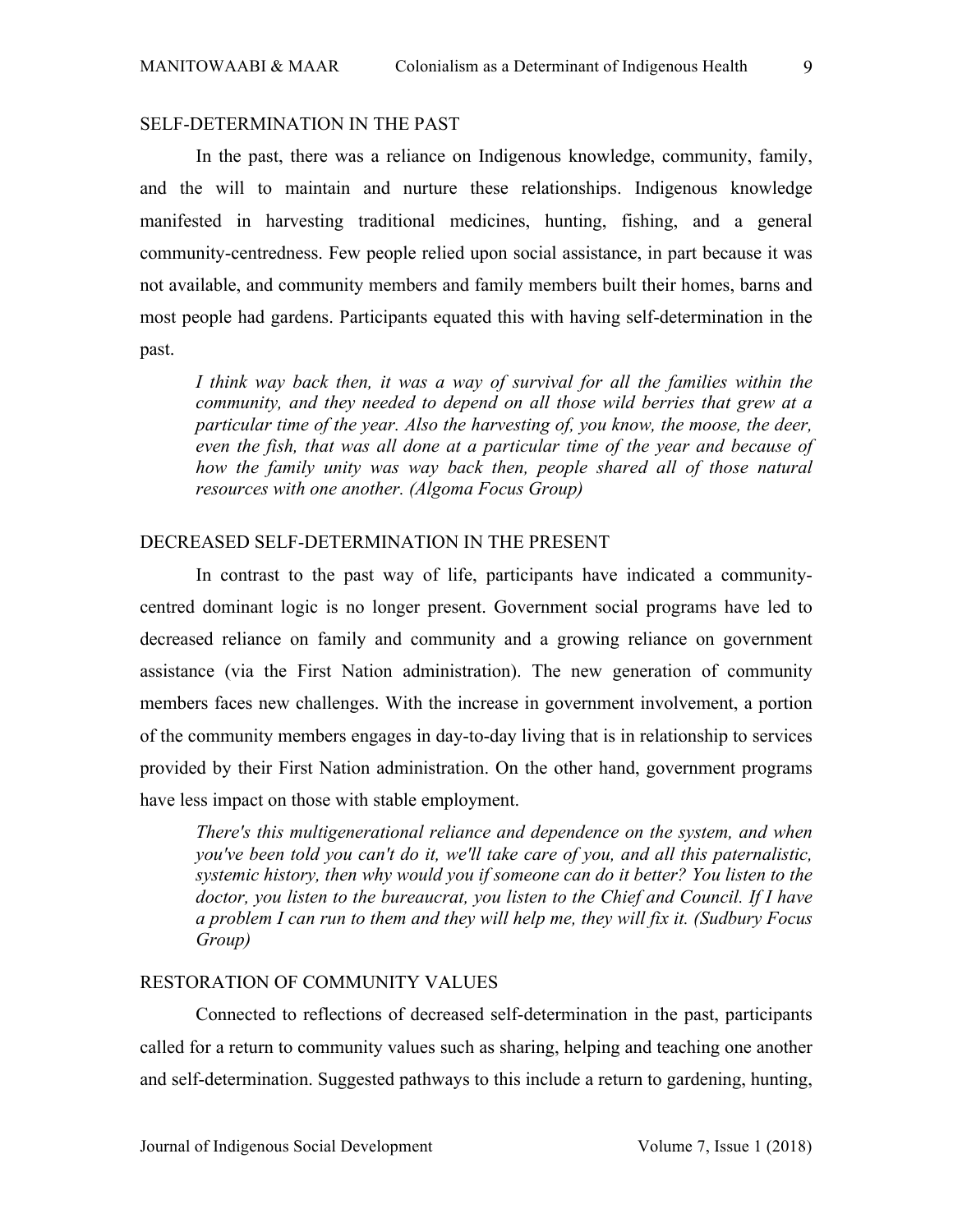# SELF-DETERMINATION IN THE PAST

In the past, there was a reliance on Indigenous knowledge, community, family, and the will to maintain and nurture these relationships. Indigenous knowledge manifested in harvesting traditional medicines, hunting, fishing, and a general community-centredness. Few people relied upon social assistance, in part because it was not available, and community members and family members built their homes, barns and most people had gardens. Participants equated this with having self-determination in the past.

*I think way back then, it was a way of survival for all the families within the community, and they needed to depend on all those wild berries that grew at a particular time of the year. Also the harvesting of, you know, the moose, the deer, even the fish, that was all done at a particular time of the year and because of how the family unity was way back then, people shared all of those natural resources with one another. (Algoma Focus Group)*

# DECREASED SELF-DETERMINATION IN THE PRESENT

In contrast to the past way of life, participants have indicated a communitycentred dominant logic is no longer present. Government social programs have led to decreased reliance on family and community and a growing reliance on government assistance (via the First Nation administration). The new generation of community members faces new challenges. With the increase in government involvement, a portion of the community members engages in day-to-day living that is in relationship to services provided by their First Nation administration. On the other hand, government programs have less impact on those with stable employment.

*There's this multigenerational reliance and dependence on the system, and when you've been told you can't do it, we'll take care of you, and all this paternalistic, systemic history, then why would you if someone can do it better? You listen to the doctor, you listen to the bureaucrat, you listen to the Chief and Council. If I have a problem I can run to them and they will help me, they will fix it. (Sudbury Focus Group)*

#### RESTORATION OF COMMUNITY VALUES

Connected to reflections of decreased self-determination in the past, participants called for a return to community values such as sharing, helping and teaching one another and self-determination. Suggested pathways to this include a return to gardening, hunting,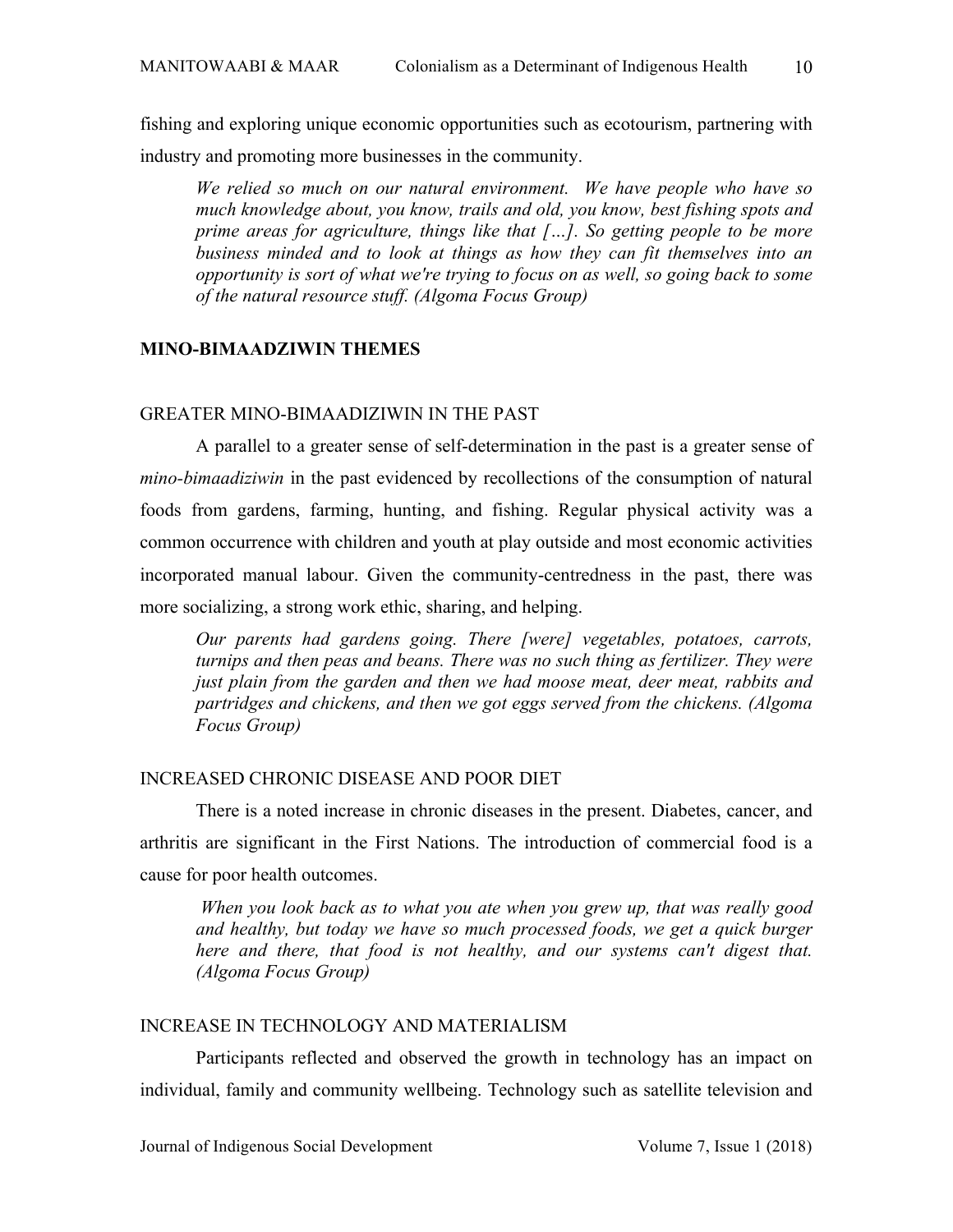fishing and exploring unique economic opportunities such as ecotourism, partnering with industry and promoting more businesses in the community.

*We relied so much on our natural environment. We have people who have so much knowledge about, you know, trails and old, you know, best fishing spots and prime areas for agriculture, things like that […]. So getting people to be more business minded and to look at things as how they can fit themselves into an opportunity is sort of what we're trying to focus on as well, so going back to some of the natural resource stuff. (Algoma Focus Group)*

### **MINO-BIMAADZIWIN THEMES**

# GREATER MINO-BIMAADIZIWIN IN THE PAST

A parallel to a greater sense of self-determination in the past is a greater sense of *mino-bimaadiziwin* in the past evidenced by recollections of the consumption of natural foods from gardens, farming, hunting, and fishing. Regular physical activity was a common occurrence with children and youth at play outside and most economic activities incorporated manual labour. Given the community-centredness in the past, there was more socializing, a strong work ethic, sharing, and helping.

*Our parents had gardens going. There [were] vegetables, potatoes, carrots, turnips and then peas and beans. There was no such thing as fertilizer. They were just plain from the garden and then we had moose meat, deer meat, rabbits and partridges and chickens, and then we got eggs served from the chickens. (Algoma Focus Group)*

## INCREASED CHRONIC DISEASE AND POOR DIET

There is a noted increase in chronic diseases in the present. Diabetes, cancer, and arthritis are significant in the First Nations. The introduction of commercial food is a cause for poor health outcomes.

*When you look back as to what you ate when you grew up, that was really good*  and healthy, but today we have so much processed foods, we get a quick burger *here and there, that food is not healthy, and our systems can't digest that. (Algoma Focus Group)*

### INCREASE IN TECHNOLOGY AND MATERIALISM

Participants reflected and observed the growth in technology has an impact on individual, family and community wellbeing. Technology such as satellite television and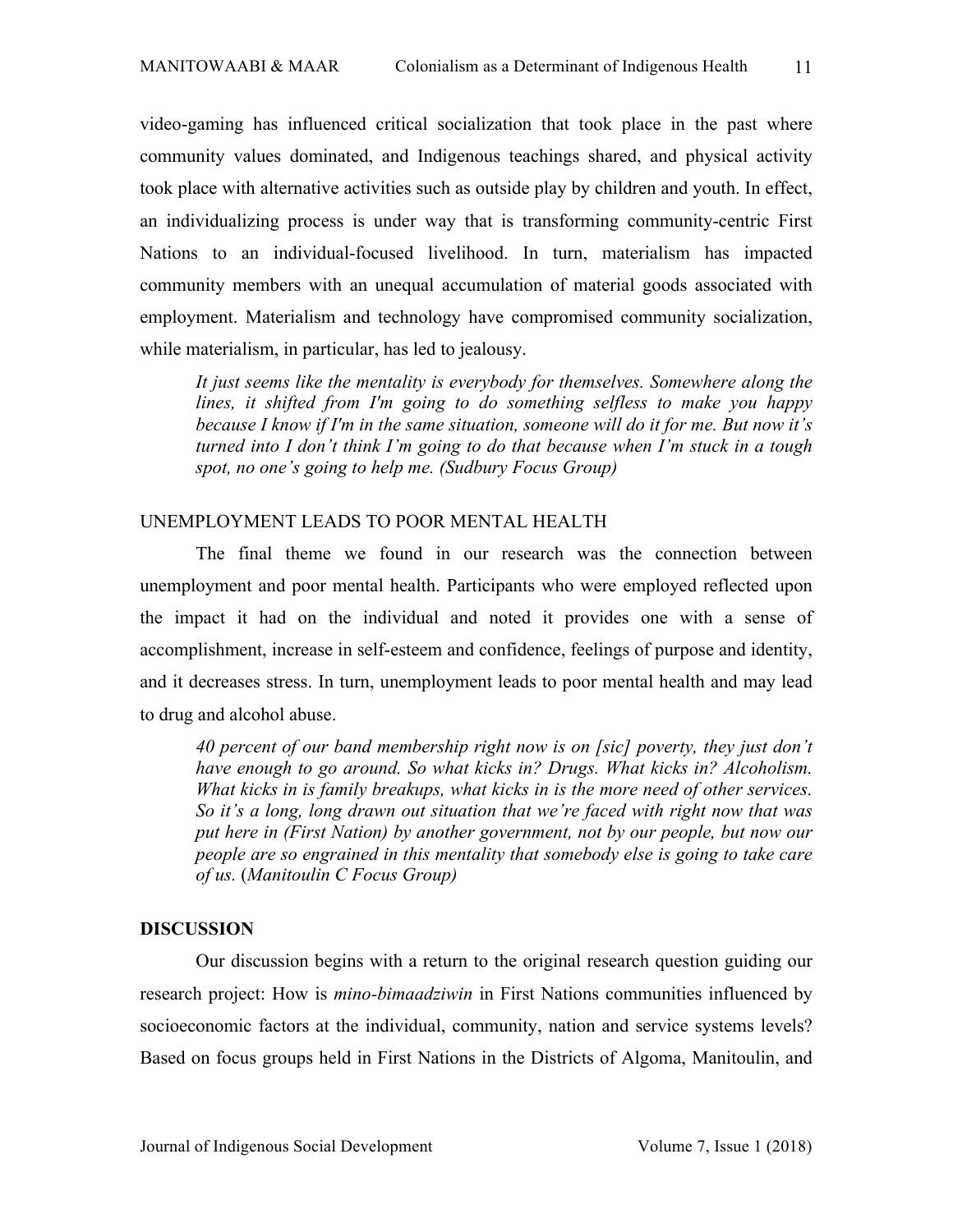video-gaming has influenced critical socialization that took place in the past where community values dominated, and Indigenous teachings shared, and physical activity took place with alternative activities such as outside play by children and youth. In effect, an individualizing process is under way that is transforming community-centric First Nations to an individual-focused livelihood. In turn, materialism has impacted community members with an unequal accumulation of material goods associated with employment. Materialism and technology have compromised community socialization, while materialism, in particular, has led to jealousy.

*It just seems like the mentality is everybody for themselves. Somewhere along the lines, it shifted from I'm going to do something selfless to make you happy because I know if I'm in the same situation, someone will do it for me. But now it's turned into I don't think I'm going to do that because when I'm stuck in a tough spot, no one's going to help me. (Sudbury Focus Group)*

### UNEMPLOYMENT LEADS TO POOR MENTAL HEALTH

The final theme we found in our research was the connection between unemployment and poor mental health. Participants who were employed reflected upon the impact it had on the individual and noted it provides one with a sense of accomplishment, increase in self-esteem and confidence, feelings of purpose and identity, and it decreases stress. In turn, unemployment leads to poor mental health and may lead to drug and alcohol abuse.

*40 percent of our band membership right now is on [sic] poverty, they just don't have enough to go around. So what kicks in? Drugs. What kicks in? Alcoholism. What kicks in is family breakups, what kicks in is the more need of other services. So it's a long, long drawn out situation that we're faced with right now that was put here in (First Nation) by another government, not by our people, but now our people are so engrained in this mentality that somebody else is going to take care of us.* (*Manitoulin C Focus Group)*

#### **DISCUSSION**

Our discussion begins with a return to the original research question guiding our research project: How is *mino-bimaadziwin* in First Nations communities influenced by socioeconomic factors at the individual, community, nation and service systems levels? Based on focus groups held in First Nations in the Districts of Algoma, Manitoulin, and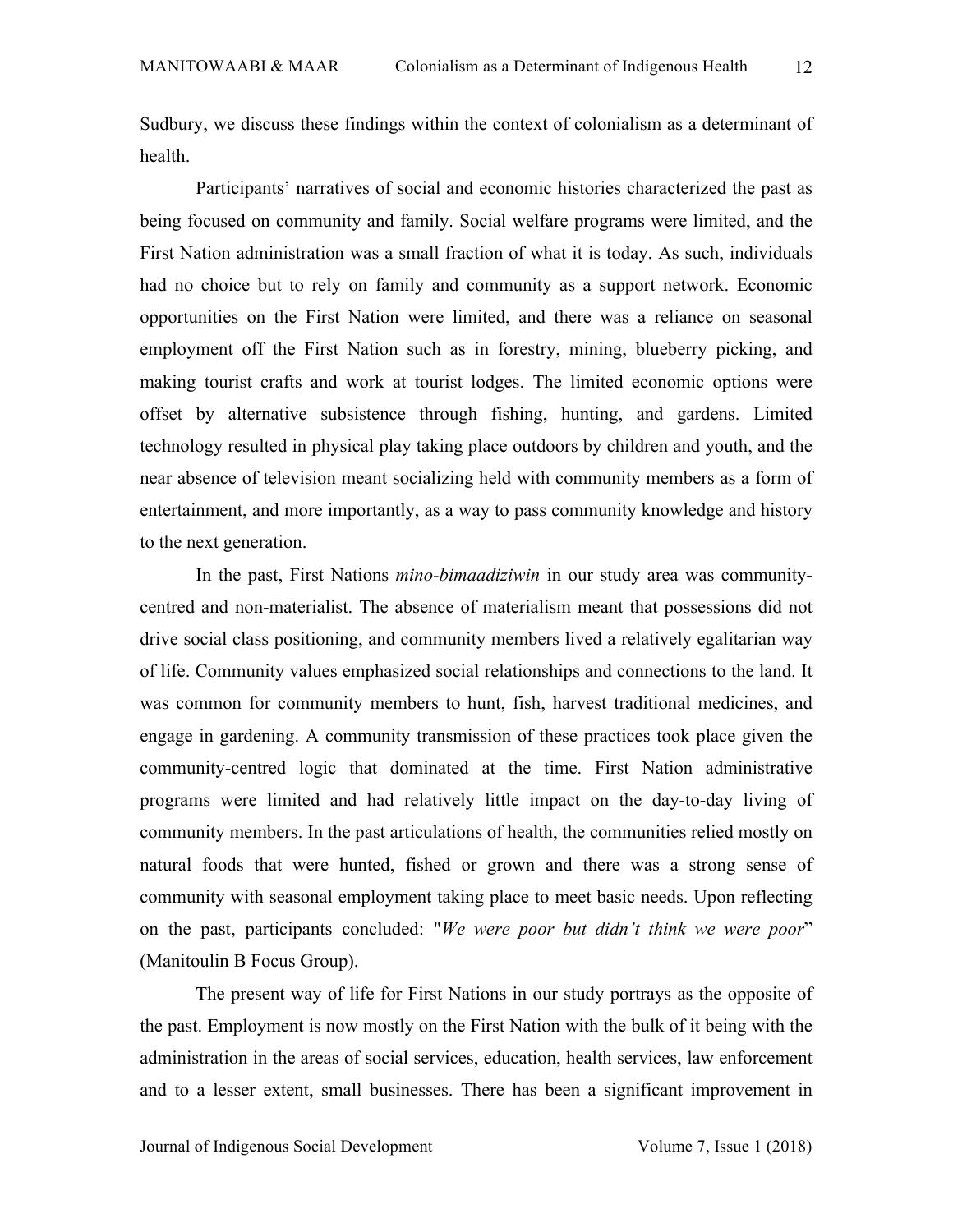Sudbury, we discuss these findings within the context of colonialism as a determinant of health.

Participants' narratives of social and economic histories characterized the past as being focused on community and family. Social welfare programs were limited, and the First Nation administration was a small fraction of what it is today. As such, individuals had no choice but to rely on family and community as a support network. Economic opportunities on the First Nation were limited, and there was a reliance on seasonal employment off the First Nation such as in forestry, mining, blueberry picking, and making tourist crafts and work at tourist lodges. The limited economic options were offset by alternative subsistence through fishing, hunting, and gardens. Limited technology resulted in physical play taking place outdoors by children and youth, and the near absence of television meant socializing held with community members as a form of entertainment, and more importantly, as a way to pass community knowledge and history to the next generation.

In the past, First Nations *mino-bimaadiziwin* in our study area was communitycentred and non-materialist. The absence of materialism meant that possessions did not drive social class positioning, and community members lived a relatively egalitarian way of life. Community values emphasized social relationships and connections to the land. It was common for community members to hunt, fish, harvest traditional medicines, and engage in gardening. A community transmission of these practices took place given the community-centred logic that dominated at the time. First Nation administrative programs were limited and had relatively little impact on the day-to-day living of community members. In the past articulations of health, the communities relied mostly on natural foods that were hunted, fished or grown and there was a strong sense of community with seasonal employment taking place to meet basic needs. Upon reflecting on the past, participants concluded: "*We were poor but didn't think we were poor*" (Manitoulin B Focus Group).

The present way of life for First Nations in our study portrays as the opposite of the past. Employment is now mostly on the First Nation with the bulk of it being with the administration in the areas of social services, education, health services, law enforcement and to a lesser extent, small businesses. There has been a significant improvement in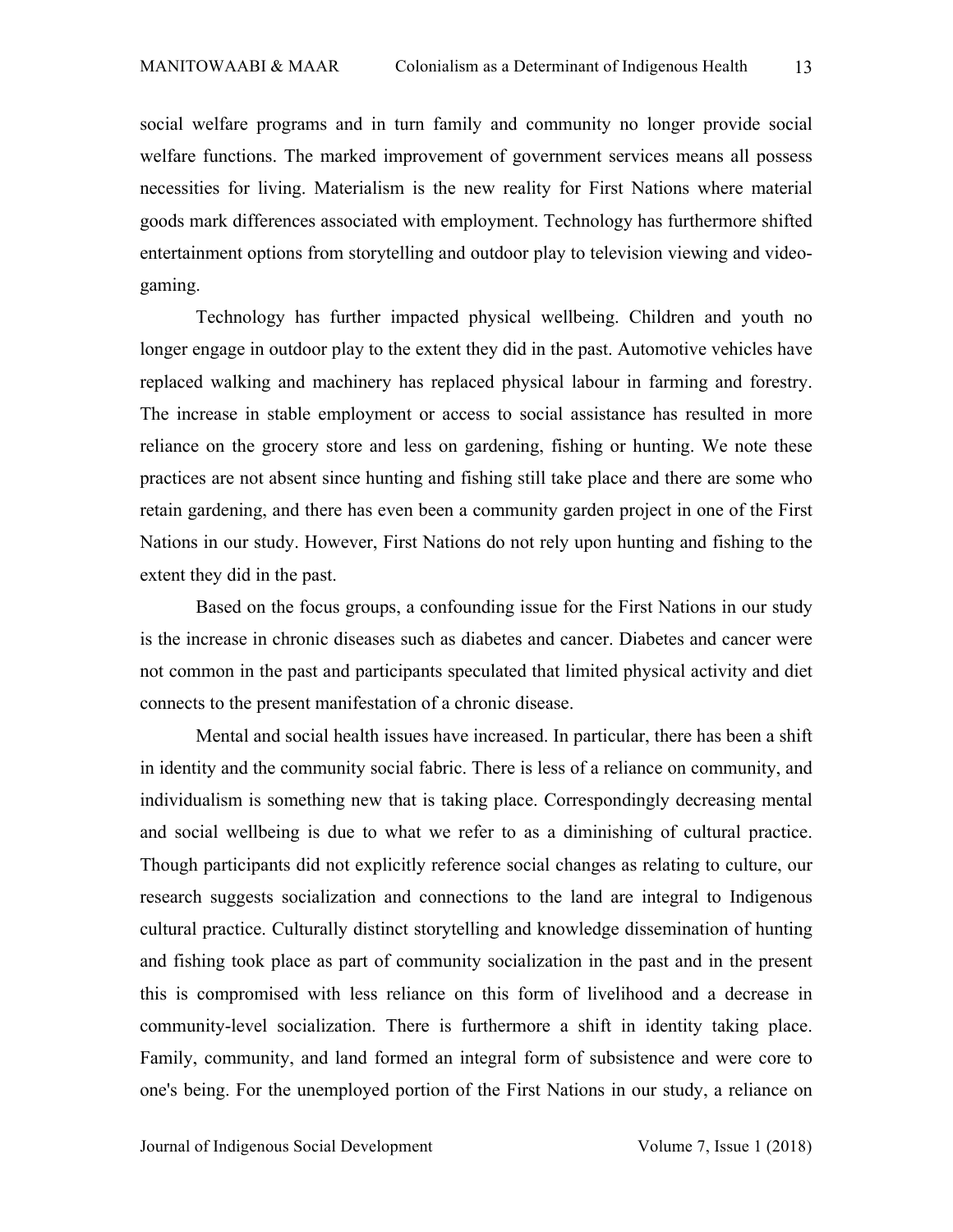social welfare programs and in turn family and community no longer provide social welfare functions. The marked improvement of government services means all possess necessities for living. Materialism is the new reality for First Nations where material goods mark differences associated with employment. Technology has furthermore shifted entertainment options from storytelling and outdoor play to television viewing and videogaming.

Technology has further impacted physical wellbeing. Children and youth no longer engage in outdoor play to the extent they did in the past. Automotive vehicles have replaced walking and machinery has replaced physical labour in farming and forestry. The increase in stable employment or access to social assistance has resulted in more reliance on the grocery store and less on gardening, fishing or hunting. We note these practices are not absent since hunting and fishing still take place and there are some who retain gardening, and there has even been a community garden project in one of the First Nations in our study. However, First Nations do not rely upon hunting and fishing to the extent they did in the past.

Based on the focus groups, a confounding issue for the First Nations in our study is the increase in chronic diseases such as diabetes and cancer. Diabetes and cancer were not common in the past and participants speculated that limited physical activity and diet connects to the present manifestation of a chronic disease.

Mental and social health issues have increased. In particular, there has been a shift in identity and the community social fabric. There is less of a reliance on community, and individualism is something new that is taking place. Correspondingly decreasing mental and social wellbeing is due to what we refer to as a diminishing of cultural practice. Though participants did not explicitly reference social changes as relating to culture, our research suggests socialization and connections to the land are integral to Indigenous cultural practice. Culturally distinct storytelling and knowledge dissemination of hunting and fishing took place as part of community socialization in the past and in the present this is compromised with less reliance on this form of livelihood and a decrease in community-level socialization. There is furthermore a shift in identity taking place. Family, community, and land formed an integral form of subsistence and were core to one's being. For the unemployed portion of the First Nations in our study, a reliance on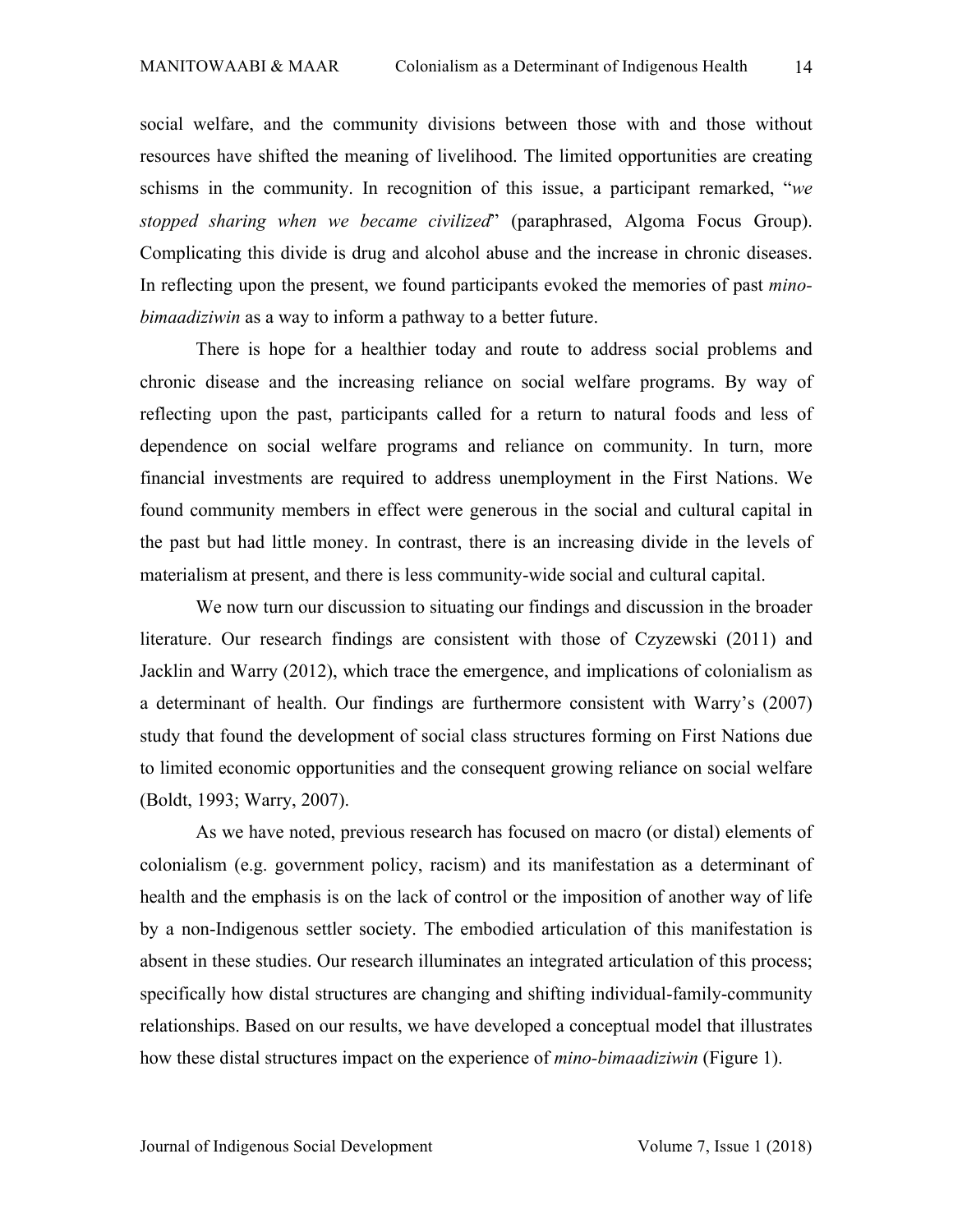social welfare, and the community divisions between those with and those without resources have shifted the meaning of livelihood. The limited opportunities are creating schisms in the community. In recognition of this issue, a participant remarked, "*we stopped sharing when we became civilized*" (paraphrased, Algoma Focus Group). Complicating this divide is drug and alcohol abuse and the increase in chronic diseases. In reflecting upon the present, we found participants evoked the memories of past *minobimaadiziwin* as a way to inform a pathway to a better future.

There is hope for a healthier today and route to address social problems and chronic disease and the increasing reliance on social welfare programs. By way of reflecting upon the past, participants called for a return to natural foods and less of dependence on social welfare programs and reliance on community. In turn, more financial investments are required to address unemployment in the First Nations. We found community members in effect were generous in the social and cultural capital in the past but had little money. In contrast, there is an increasing divide in the levels of materialism at present, and there is less community-wide social and cultural capital.

We now turn our discussion to situating our findings and discussion in the broader literature. Our research findings are consistent with those of Czyzewski (2011) and Jacklin and Warry (2012), which trace the emergence, and implications of colonialism as a determinant of health. Our findings are furthermore consistent with Warry's (2007) study that found the development of social class structures forming on First Nations due to limited economic opportunities and the consequent growing reliance on social welfare (Boldt, 1993; Warry, 2007).

As we have noted, previous research has focused on macro (or distal) elements of colonialism (e.g. government policy, racism) and its manifestation as a determinant of health and the emphasis is on the lack of control or the imposition of another way of life by a non-Indigenous settler society. The embodied articulation of this manifestation is absent in these studies. Our research illuminates an integrated articulation of this process; specifically how distal structures are changing and shifting individual-family-community relationships. Based on our results, we have developed a conceptual model that illustrates how these distal structures impact on the experience of *mino-bimaadiziwin* (Figure 1).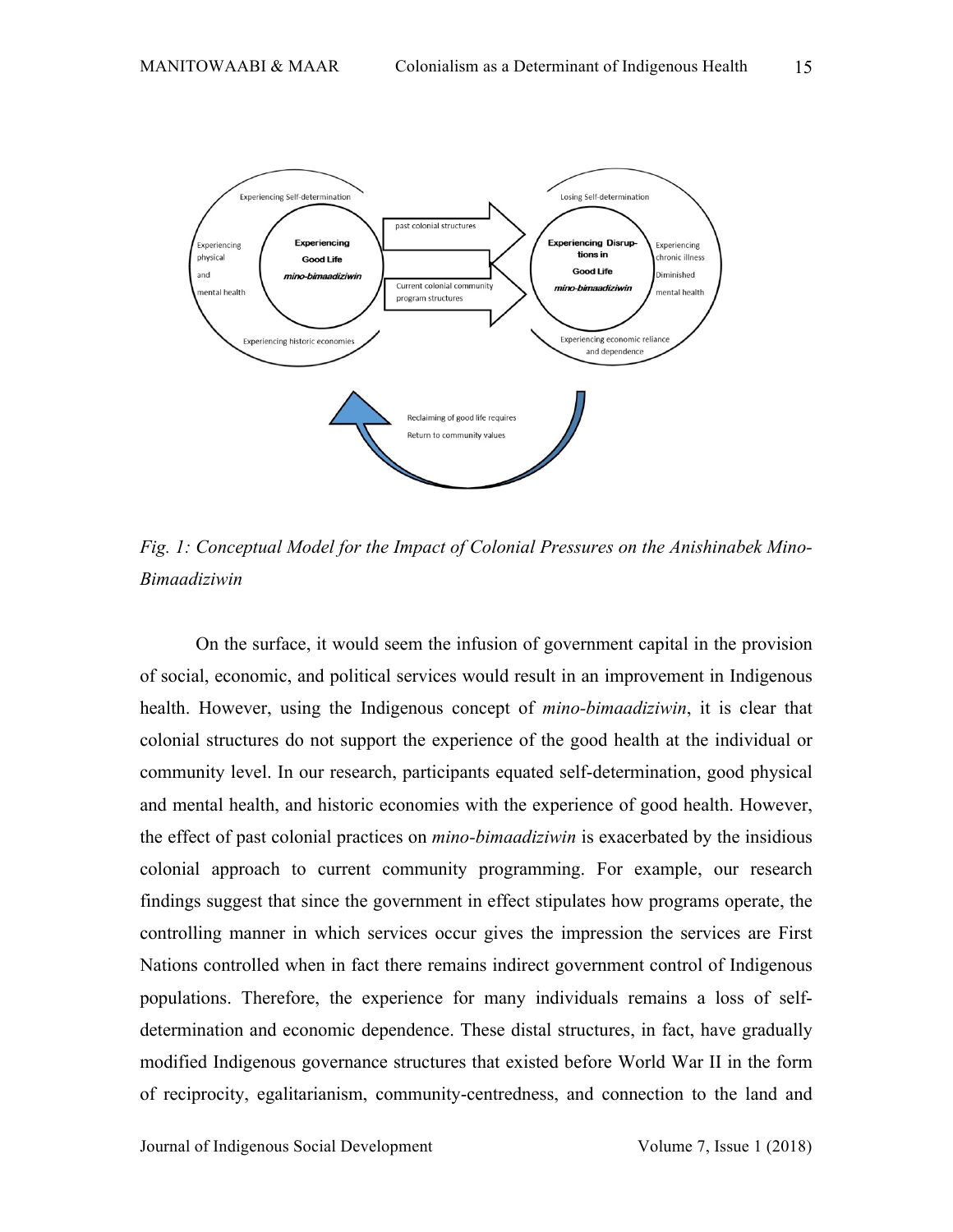

*Fig. 1: Conceptual Model for the Impact of Colonial Pressures on the Anishinabek Mino-Bimaadiziwin*

On the surface, it would seem the infusion of government capital in the provision of social, economic, and political services would result in an improvement in Indigenous health. However, using the Indigenous concept of *mino-bimaadiziwin*, it is clear that colonial structures do not support the experience of the good health at the individual or community level. In our research, participants equated self-determination, good physical and mental health, and historic economies with the experience of good health. However, the effect of past colonial practices on *mino-bimaadiziwin* is exacerbated by the insidious colonial approach to current community programming. For example, our research findings suggest that since the government in effect stipulates how programs operate, the controlling manner in which services occur gives the impression the services are First Nations controlled when in fact there remains indirect government control of Indigenous populations. Therefore, the experience for many individuals remains a loss of selfdetermination and economic dependence. These distal structures, in fact, have gradually modified Indigenous governance structures that existed before World War II in the form of reciprocity, egalitarianism, community-centredness, and connection to the land and

Journal of Indigenous Social Development Volume 7, Issue 1 (2018)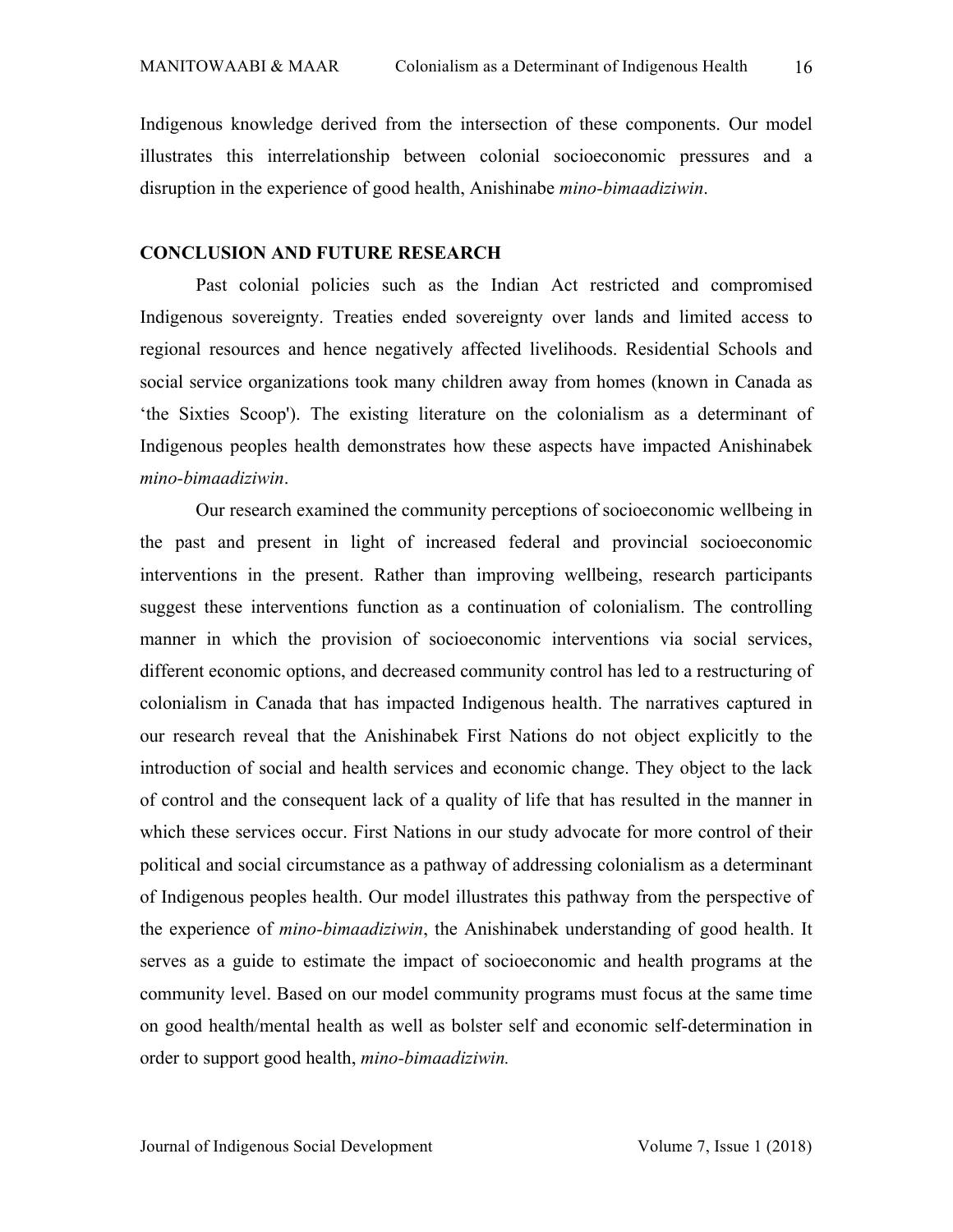Indigenous knowledge derived from the intersection of these components. Our model illustrates this interrelationship between colonial socioeconomic pressures and a disruption in the experience of good health, Anishinabe *mino-bimaadiziwin*.

### **CONCLUSION AND FUTURE RESEARCH**

Past colonial policies such as the Indian Act restricted and compromised Indigenous sovereignty. Treaties ended sovereignty over lands and limited access to regional resources and hence negatively affected livelihoods. Residential Schools and social service organizations took many children away from homes (known in Canada as 'the Sixties Scoop'). The existing literature on the colonialism as a determinant of Indigenous peoples health demonstrates how these aspects have impacted Anishinabek *mino-bimaadiziwin*.

Our research examined the community perceptions of socioeconomic wellbeing in the past and present in light of increased federal and provincial socioeconomic interventions in the present. Rather than improving wellbeing, research participants suggest these interventions function as a continuation of colonialism. The controlling manner in which the provision of socioeconomic interventions via social services, different economic options, and decreased community control has led to a restructuring of colonialism in Canada that has impacted Indigenous health. The narratives captured in our research reveal that the Anishinabek First Nations do not object explicitly to the introduction of social and health services and economic change. They object to the lack of control and the consequent lack of a quality of life that has resulted in the manner in which these services occur. First Nations in our study advocate for more control of their political and social circumstance as a pathway of addressing colonialism as a determinant of Indigenous peoples health. Our model illustrates this pathway from the perspective of the experience of *mino-bimaadiziwin*, the Anishinabek understanding of good health. It serves as a guide to estimate the impact of socioeconomic and health programs at the community level. Based on our model community programs must focus at the same time on good health/mental health as well as bolster self and economic self-determination in order to support good health, *mino-bimaadiziwin.*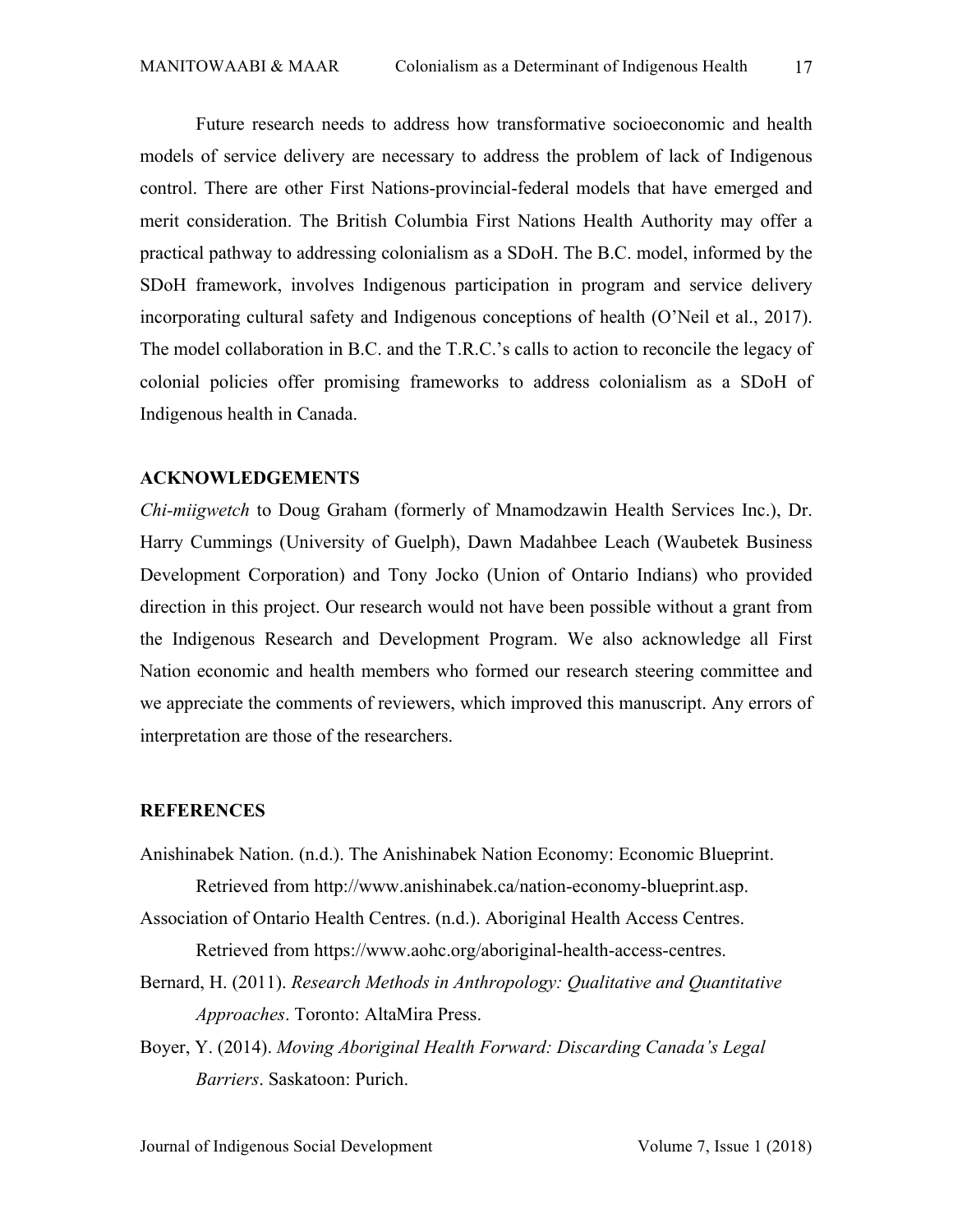Future research needs to address how transformative socioeconomic and health models of service delivery are necessary to address the problem of lack of Indigenous control. There are other First Nations-provincial-federal models that have emerged and merit consideration. The British Columbia First Nations Health Authority may offer a practical pathway to addressing colonialism as a SDoH. The B.C. model, informed by the SDoH framework, involves Indigenous participation in program and service delivery incorporating cultural safety and Indigenous conceptions of health (O'Neil et al., 2017). The model collaboration in B.C. and the T.R.C.'s calls to action to reconcile the legacy of colonial policies offer promising frameworks to address colonialism as a SDoH of Indigenous health in Canada.

### **ACKNOWLEDGEMENTS**

*Chi-miigwetch* to Doug Graham (formerly of Mnamodzawin Health Services Inc.), Dr. Harry Cummings (University of Guelph), Dawn Madahbee Leach (Waubetek Business Development Corporation) and Tony Jocko (Union of Ontario Indians) who provided direction in this project. Our research would not have been possible without a grant from the Indigenous Research and Development Program. We also acknowledge all First Nation economic and health members who formed our research steering committee and we appreciate the comments of reviewers, which improved this manuscript. Any errors of interpretation are those of the researchers.

#### **REFERENCES**

- Anishinabek Nation. (n.d.). The Anishinabek Nation Economy: Economic Blueprint. Retrieved from http://www.anishinabek.ca/nation-economy-blueprint.asp.
- Association of Ontario Health Centres. (n.d.). Aboriginal Health Access Centres. Retrieved from https://www.aohc.org/aboriginal-health-access-centres.
- Bernard, H. (2011). *Research Methods in Anthropology: Qualitative and Quantitative Approaches*. Toronto: AltaMira Press.
- Boyer, Y. (2014). *Moving Aboriginal Health Forward: Discarding Canada's Legal Barriers*. Saskatoon: Purich.

Journal of Indigenous Social Development Volume 7, Issue 1 (2018)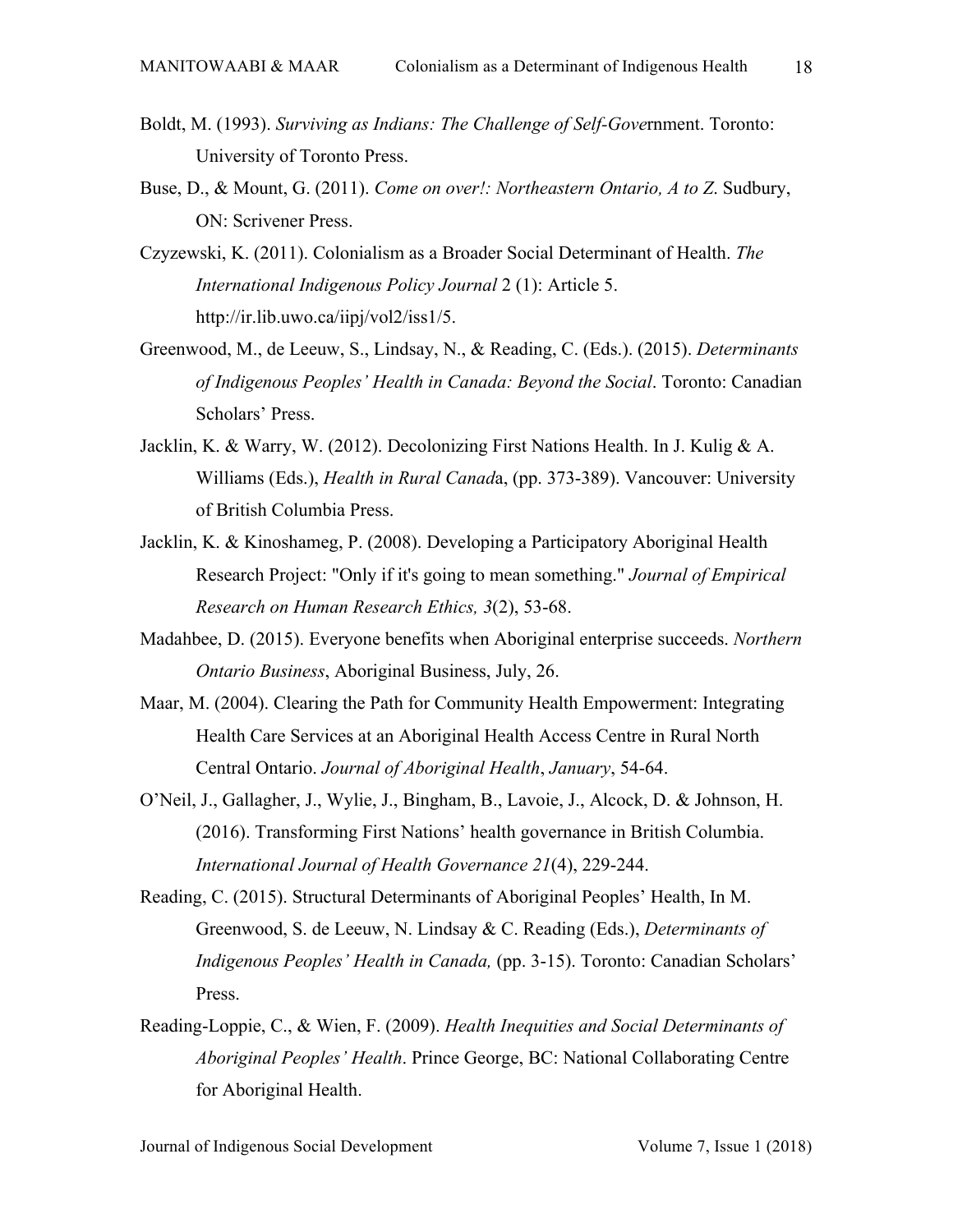- Boldt, M. (1993). *Surviving as Indians: The Challenge of Self-Gove*rnment. Toronto: University of Toronto Press.
- Buse, D., & Mount, G. (2011). *Come on over!: Northeastern Ontario, A to Z*. Sudbury, ON: Scrivener Press.
- Czyzewski, K. (2011). Colonialism as a Broader Social Determinant of Health. *The International Indigenous Policy Journal* 2 (1): Article 5. http://ir.lib.uwo.ca/iipj/vol2/iss1/5.
- Greenwood, M., de Leeuw, S., Lindsay, N., & Reading, C. (Eds.). (2015). *Determinants of Indigenous Peoples' Health in Canada: Beyond the Social*. Toronto: Canadian Scholars' Press.
- Jacklin, K. & Warry, W. (2012). Decolonizing First Nations Health. In J. Kulig & A. Williams (Eds.), *Health in Rural Canad*a, (pp. 373-389). Vancouver: University of British Columbia Press.
- Jacklin, K. & Kinoshameg, P. (2008). Developing a Participatory Aboriginal Health Research Project: "Only if it's going to mean something." *Journal of Empirical Research on Human Research Ethics, 3*(2), 53-68.
- Madahbee, D. (2015). Everyone benefits when Aboriginal enterprise succeeds. *Northern Ontario Business*, Aboriginal Business, July, 26.
- Maar, M. (2004). Clearing the Path for Community Health Empowerment: Integrating Health Care Services at an Aboriginal Health Access Centre in Rural North Central Ontario. *Journal of Aboriginal Health*, *January*, 54-64.
- O'Neil, J., Gallagher, J., Wylie, J., Bingham, B., Lavoie, J., Alcock, D. & Johnson, H. (2016). Transforming First Nations' health governance in British Columbia. *International Journal of Health Governance 21*(4), 229-244.
- Reading, C. (2015). Structural Determinants of Aboriginal Peoples' Health, In M. Greenwood, S. de Leeuw, N. Lindsay & C. Reading (Eds.), *Determinants of Indigenous Peoples' Health in Canada,* (pp. 3-15). Toronto: Canadian Scholars' Press.
- Reading-Loppie, C., & Wien, F. (2009). *Health Inequities and Social Determinants of Aboriginal Peoples' Health*. Prince George, BC: National Collaborating Centre for Aboriginal Health.